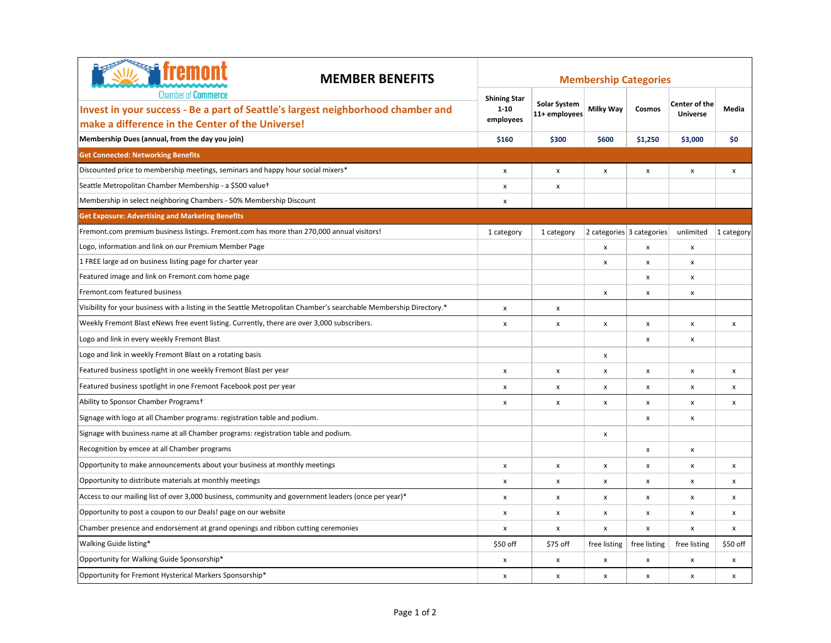| <b>W<sub>s</sub></b> fremont<br><b>MEMBER BENEFITS</b><br><b>Chamber of Commerce</b><br>Invest in your success - Be a part of Seattle's largest neighborhood chamber and | <b>Membership Categories</b>    |                                      |                    |                           |                                         |                    |  |  |
|--------------------------------------------------------------------------------------------------------------------------------------------------------------------------|---------------------------------|--------------------------------------|--------------------|---------------------------|-----------------------------------------|--------------------|--|--|
|                                                                                                                                                                          | <b>Shining Star</b><br>$1 - 10$ | <b>Solar System</b><br>11+ employees | Milky Way          | Cosmos                    | <b>Center of the</b><br><b>Universe</b> | Media              |  |  |
| make a difference in the Center of the Universe!                                                                                                                         | employees                       |                                      |                    |                           |                                         |                    |  |  |
| Membership Dues (annual, from the day you join)                                                                                                                          | \$160                           | \$300                                | \$600              | \$1,250                   | \$3,000                                 | \$0                |  |  |
| <b>Get Connected: Networking Benefits</b>                                                                                                                                |                                 |                                      |                    |                           |                                         |                    |  |  |
| Discounted price to membership meetings, seminars and happy hour social mixers*                                                                                          | X                               | x                                    | x                  | x                         | x                                       | $\pmb{\mathsf{x}}$ |  |  |
| Seattle Metropolitan Chamber Membership - a \$500 valuet                                                                                                                 | $\pmb{\mathsf{x}}$              | x                                    |                    |                           |                                         |                    |  |  |
| Membership in select neighboring Chambers - 50% Membership Discount                                                                                                      | $\pmb{\times}$                  |                                      |                    |                           |                                         |                    |  |  |
| <b>Get Exposure: Advertising and Marketing Benefits</b>                                                                                                                  |                                 |                                      |                    |                           |                                         |                    |  |  |
| Fremont.com premium business listings. Fremont.com has more than 270,000 annual visitors!                                                                                | 1 category                      | 1 category                           |                    | 2 categories 3 categories | unlimited                               | 1 category         |  |  |
| Logo, information and link on our Premium Member Page                                                                                                                    |                                 |                                      | $\pmb{\mathsf{x}}$ | x                         | x                                       |                    |  |  |
| 1 FREE large ad on business listing page for charter year                                                                                                                |                                 |                                      | x                  | x                         | x                                       |                    |  |  |
| Featured image and link on Fremont.com home page                                                                                                                         |                                 |                                      |                    | x                         | x                                       |                    |  |  |
| Fremont.com featured business                                                                                                                                            |                                 |                                      | x                  | x                         | x                                       |                    |  |  |
| Visibility for your business with a listing in the Seattle Metropolitan Chamber's searchable Membership Directory.*                                                      | x                               | x                                    |                    |                           |                                         |                    |  |  |
| Weekly Fremont Blast eNews free event listing. Currently, there are over 3,000 subscribers.                                                                              | X                               | x                                    | x                  | x                         | x                                       | X                  |  |  |
| Logo and link in every weekly Fremont Blast                                                                                                                              |                                 |                                      |                    | x                         | x                                       |                    |  |  |
| Logo and link in weekly Fremont Blast on a rotating basis                                                                                                                |                                 |                                      | x                  |                           |                                         |                    |  |  |
| Featured business spotlight in one weekly Fremont Blast per year                                                                                                         | x                               | x                                    | x                  | x                         | x                                       | x                  |  |  |
| Featured business spotlight in one Fremont Facebook post per year                                                                                                        | x                               | x                                    | x                  | x                         | x                                       | x                  |  |  |
| Ability to Sponsor Chamber Programs+                                                                                                                                     | X                               | x                                    | x                  | x                         | x                                       | x                  |  |  |
| Signage with logo at all Chamber programs: registration table and podium.                                                                                                |                                 |                                      |                    | x                         | x                                       |                    |  |  |
| Signage with business name at all Chamber programs: registration table and podium.                                                                                       |                                 |                                      | x                  |                           |                                         |                    |  |  |
| Recognition by emcee at all Chamber programs                                                                                                                             |                                 |                                      |                    | x                         | x                                       |                    |  |  |
| Opportunity to make announcements about your business at monthly meetings                                                                                                | $\pmb{\times}$                  | x                                    | x                  | x                         | x                                       | x                  |  |  |
| Opportunity to distribute materials at monthly meetings                                                                                                                  | x                               | x                                    | x                  | x                         | x                                       | x                  |  |  |
| Access to our mailing list of over 3,000 business, community and government leaders (once per year)*                                                                     | x                               | x                                    | x                  | x                         | x                                       | x                  |  |  |
| Opportunity to post a coupon to our Deals! page on our website                                                                                                           | x                               | x                                    | x                  | x                         | x                                       | x                  |  |  |
| Chamber presence and endorsement at grand openings and ribbon cutting ceremonies                                                                                         | $\pmb{\times}$                  | x                                    | x                  | x                         | x                                       | x                  |  |  |
| Walking Guide listing*                                                                                                                                                   | \$50 off                        | \$75 off                             | free listing       | free listing              | free listing                            | \$50 of f          |  |  |
| Opportunity for Walking Guide Sponsorship*                                                                                                                               | x                               | x                                    | x                  | x                         | x                                       | x                  |  |  |
| Opportunity for Fremont Hysterical Markers Sponsorship*                                                                                                                  | X                               | x                                    | x                  | x                         | x                                       | x                  |  |  |